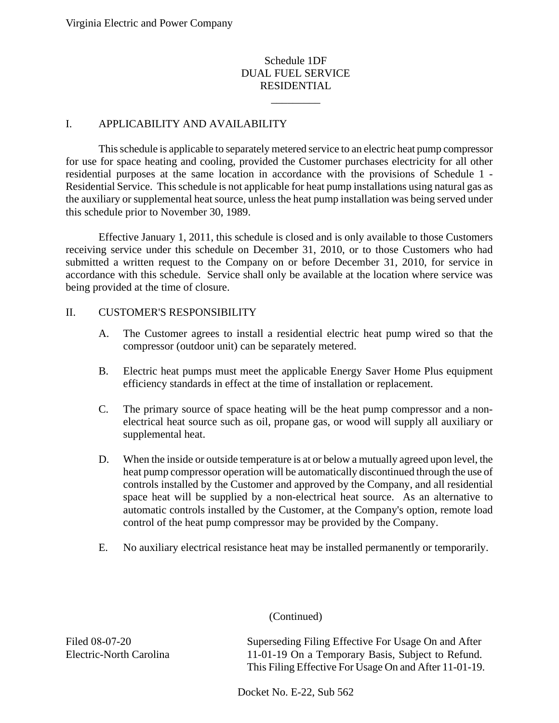# Schedule 1DF DUAL FUEL SERVICE RESIDENTIAL

\_\_\_\_\_\_\_\_\_

# I. APPLICABILITY AND AVAILABILITY

This schedule is applicable to separately metered service to an electric heat pump compressor for use for space heating and cooling, provided the Customer purchases electricity for all other residential purposes at the same location in accordance with the provisions of Schedule 1 - Residential Service. This schedule is not applicable for heat pump installations using natural gas as the auxiliary or supplemental heat source, unless the heat pump installation was being served under this schedule prior to November 30, 1989.

Effective January 1, 2011, this schedule is closed and is only available to those Customers receiving service under this schedule on December 31, 2010, or to those Customers who had submitted a written request to the Company on or before December 31, 2010, for service in accordance with this schedule. Service shall only be available at the location where service was being provided at the time of closure.

### II. CUSTOMER'S RESPONSIBILITY

- A. The Customer agrees to install a residential electric heat pump wired so that the compressor (outdoor unit) can be separately metered.
- B. Electric heat pumps must meet the applicable Energy Saver Home Plus equipment efficiency standards in effect at the time of installation or replacement.
- C. The primary source of space heating will be the heat pump compressor and a nonelectrical heat source such as oil, propane gas, or wood will supply all auxiliary or supplemental heat.
- D. When the inside or outside temperature is at or below a mutually agreed upon level, the heat pump compressor operation will be automatically discontinued through the use of controls installed by the Customer and approved by the Company, and all residential space heat will be supplied by a non-electrical heat source. As an alternative to automatic controls installed by the Customer, at the Company's option, remote load control of the heat pump compressor may be provided by the Company.
- E. No auxiliary electrical resistance heat may be installed permanently or temporarily.

# (Continued)

Filed 08-07-20 Electric-North Carolina Superseding Filing Effective For Usage On and After 11-01-19 On a Temporary Basis, Subject to Refund. This Filing Effective For Usage On and After 11-01-19.

Docket No. E-22, Sub 562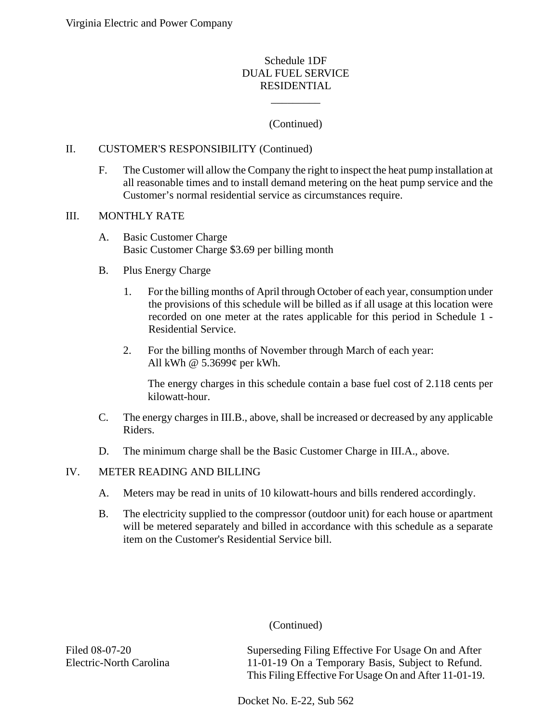## Schedule 1DF DUAL FUEL SERVICE RESIDENTIAL

# (Continued)

\_\_\_\_\_\_\_\_\_

### II. CUSTOMER'S RESPONSIBILITY (Continued)

F. The Customer will allow the Company the right to inspect the heat pump installation at all reasonable times and to install demand metering on the heat pump service and the Customer's normal residential service as circumstances require.

### III. MONTHLY RATE

A. Basic Customer Charge Basic Customer Charge \$3.69 per billing month

### B. Plus Energy Charge

- 1. For the billing months of April through October of each year, consumption under the provisions of this schedule will be billed as if all usage at this location were recorded on one meter at the rates applicable for this period in Schedule 1 - Residential Service.
- 2. For the billing months of November through March of each year: All kWh @ 5.3699¢ per kWh.

The energy charges in this schedule contain a base fuel cost of 2.118 cents per kilowatt-hour.

- C. The energy charges in III.B., above, shall be increased or decreased by any applicable Riders.
- D. The minimum charge shall be the Basic Customer Charge in III.A., above.

### IV. METER READING AND BILLING

- A. Meters may be read in units of 10 kilowatt-hours and bills rendered accordingly.
- B. The electricity supplied to the compressor (outdoor unit) for each house or apartment will be metered separately and billed in accordance with this schedule as a separate item on the Customer's Residential Service bill.

# (Continued)

Filed 08-07-20 Electric-North Carolina Superseding Filing Effective For Usage On and After 11-01-19 On a Temporary Basis, Subject to Refund. This Filing Effective For Usage On and After 11-01-19.

Docket No. E-22, Sub 562